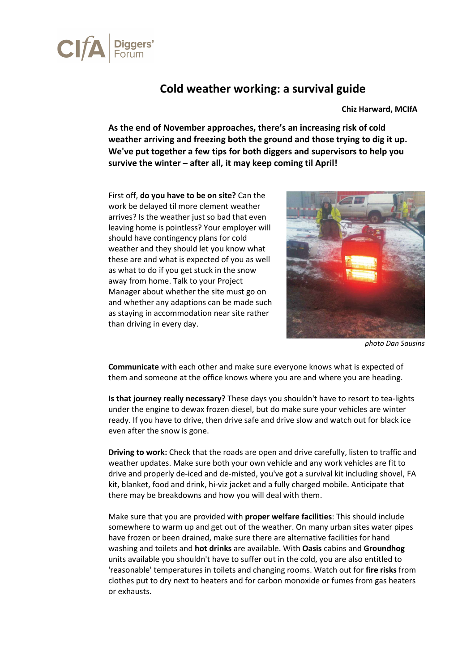

## Cold weather working: a survival guide

Chiz Harward, MCIfA

As the end of November approaches, there's an increasing risk of cold weather arriving and freezing both the ground and those trying to dig it up. We've put together a few tips for both diggers and supervisors to help you survive the winter – after all, it may keep coming til April!

First off, do you have to be on site? Can the work be delayed til more clement weather arrives? Is the weather just so bad that even leaving home is pointless? Your employer will should have contingency plans for cold weather and they should let you know what these are and what is expected of you as well as what to do if you get stuck in the snow away from home. Talk to your Project Manager about whether the site must go on and whether any adaptions can be made such as staying in accommodation near site rather than driving in every day.



photo Dan Sausins

Communicate with each other and make sure everyone knows what is expected of them and someone at the office knows where you are and where you are heading.

Is that journey really necessary? These days you shouldn't have to resort to tea-lights under the engine to dewax frozen diesel, but do make sure your vehicles are winter ready. If you have to drive, then drive safe and drive slow and watch out for black ice even after the snow is gone.

Driving to work: Check that the roads are open and drive carefully, listen to traffic and weather updates. Make sure both your own vehicle and any work vehicles are fit to drive and properly de-iced and de-misted, you've got a survival kit including shovel, FA kit, blanket, food and drink, hi-viz jacket and a fully charged mobile. Anticipate that there may be breakdowns and how you will deal with them.

Make sure that you are provided with proper welfare facilities: This should include somewhere to warm up and get out of the weather. On many urban sites water pipes have frozen or been drained, make sure there are alternative facilities for hand washing and toilets and hot drinks are available. With Oasis cabins and Groundhog units available you shouldn't have to suffer out in the cold, you are also entitled to 'reasonable' temperatures in toilets and changing rooms. Watch out for fire risks from clothes put to dry next to heaters and for carbon monoxide or fumes from gas heaters or exhausts.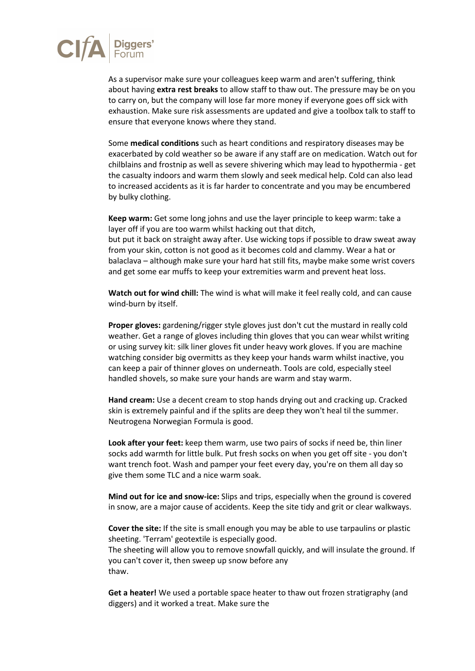

As a supervisor make sure your colleagues keep warm and aren't suffering, think about having **extra rest breaks** to allow staff to thaw out. The pressure may be on you to carry on, but the company will lose far more money if everyone goes off sick with exhaustion. Make sure risk assessments are updated and give a toolbox talk to staff to ensure that everyone knows where they stand.

Some medical conditions such as heart conditions and respiratory diseases may be exacerbated by cold weather so be aware if any staff are on medication. Watch out for chilblains and frostnip as well as severe shivering which may lead to hypothermia - get the casualty indoors and warm them slowly and seek medical help. Cold can also lead to increased accidents as it is far harder to concentrate and you may be encumbered by bulky clothing.

Keep warm: Get some long johns and use the layer principle to keep warm: take a layer off if you are too warm whilst hacking out that ditch,

but put it back on straight away after. Use wicking tops if possible to draw sweat away from your skin, cotton is not good as it becomes cold and clammy. Wear a hat or balaclava – although make sure your hard hat still fits, maybe make some wrist covers and get some ear muffs to keep your extremities warm and prevent heat loss.

Watch out for wind chill: The wind is what will make it feel really cold, and can cause wind-burn by itself.

Proper gloves: gardening/rigger style gloves just don't cut the mustard in really cold weather. Get a range of gloves including thin gloves that you can wear whilst writing or using survey kit: silk liner gloves fit under heavy work gloves. If you are machine watching consider big overmitts as they keep your hands warm whilst inactive, you can keep a pair of thinner gloves on underneath. Tools are cold, especially steel handled shovels, so make sure your hands are warm and stay warm.

Hand cream: Use a decent cream to stop hands drying out and cracking up. Cracked skin is extremely painful and if the splits are deep they won't heal til the summer. Neutrogena Norwegian Formula is good.

Look after your feet: keep them warm, use two pairs of socks if need be, thin liner socks add warmth for little bulk. Put fresh socks on when you get off site - you don't want trench foot. Wash and pamper your feet every day, you're on them all day so give them some TLC and a nice warm soak.

Mind out for ice and snow-ice: Slips and trips, especially when the ground is covered in snow, are a major cause of accidents. Keep the site tidy and grit or clear walkways.

Cover the site: If the site is small enough you may be able to use tarpaulins or plastic sheeting. 'Terram' geotextile is especially good.

The sheeting will allow you to remove snowfall quickly, and will insulate the ground. If you can't cover it, then sweep up snow before any thaw.

Get a heater! We used a portable space heater to thaw out frozen stratigraphy (and diggers) and it worked a treat. Make sure the